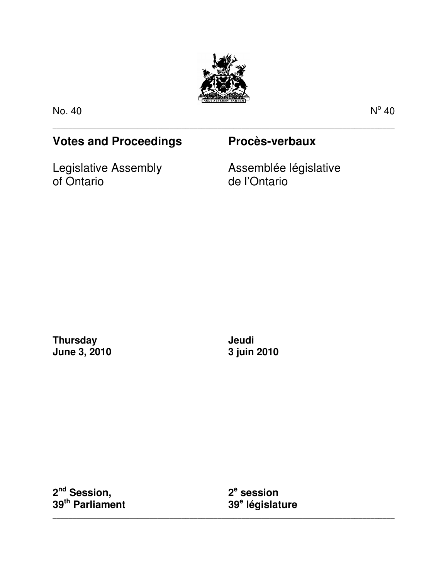

\_\_\_\_\_\_\_\_\_\_\_\_\_\_\_\_\_\_\_\_\_\_\_\_\_\_\_\_\_\_\_\_\_\_\_\_\_\_\_\_\_\_\_\_\_\_\_\_\_\_\_\_\_\_\_\_\_\_\_\_\_\_\_\_\_\_\_\_\_\_\_\_\_\_\_\_\_\_\_\_\_\_\_\_\_

No. 40 No. 40 No. 40 No. 40 No. 40 No. 40 No. 40 No. 40 No. 40 No. 40 No. 40 No. 40 No. 40 No. 40 No. 40 No. 40

 $\degree$  40

# **Votes and Proceedings Procès-verbaux**

Legislative Assembly of Ontario

Assemblée législative de l'Ontario

**Thursday June 3, 2010**  **Jeudi 3 juin 2010** 

**2 nd Session, 39th Parliament** 

**2 e session 39<sup>e</sup> législature** 

\_\_\_\_\_\_\_\_\_\_\_\_\_\_\_\_\_\_\_\_\_\_\_\_\_\_\_\_\_\_\_\_\_\_\_\_\_\_\_\_\_\_\_\_\_\_\_\_\_\_\_\_\_\_\_\_\_\_\_\_\_\_\_\_\_\_\_\_\_\_\_\_\_\_\_\_\_\_\_\_\_\_\_\_\_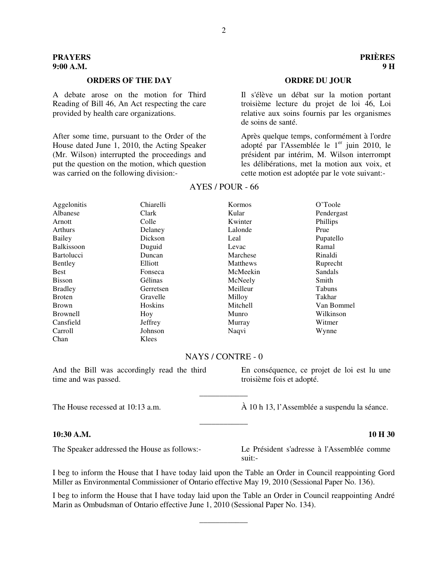# **ORDERS OF THE DAY ORDRE DU JOUR**

A debate arose on the motion for Third Reading of Bill 46, An Act respecting the care provided by health care organizations.

After some time, pursuant to the Order of the House dated June 1, 2010, the Acting Speaker (Mr. Wilson) interrupted the proceedings and put the question on the motion, which question was carried on the following division:-

Il s'élève un débat sur la motion portant troisième lecture du projet de loi 46, Loi relative aux soins fournis par les organismes de soins de santé.

Après quelque temps, conformément à l'ordre adopté par l'Assemblée le  $1<sup>er</sup>$  juin 2010, le président par intérim, M. Wilson interrompt les délibérations, met la motion aux voix, et cette motion est adoptée par le vote suivant:-

| Aggelonitis       | Chiarelli | Kormos   | O'Toole    |
|-------------------|-----------|----------|------------|
| Albanese          | Clark     | Kular    | Pendergast |
| Arnott            | Colle     | Kwinter  | Phillips   |
| Arthurs           | Delaney   | Lalonde  | Prue       |
| Bailey            | Dickson   | Leal     | Pupatello  |
| <b>Balkissoon</b> | Duguid    | Levac    | Ramal      |
| <b>Bartolucci</b> | Duncan    | Marchese | Rinaldi    |
| Bentley           | Elliott   | Matthews | Ruprecht   |
| <b>Best</b>       | Fonseca   | McMeekin | Sandals    |
| <b>Bisson</b>     | Gélinas   | McNeely  | Smith      |
| <b>Bradley</b>    | Gerretsen | Meilleur | Tabuns     |
| <b>Broten</b>     | Gravelle  | Milloy   | Takhar     |
| <b>Brown</b>      | Hoskins   | Mitchell | Van Bommel |
| <b>Brownell</b>   | Hoy       | Munro    | Wilkinson  |
| Cansfield         | Jeffrey   | Murray   | Witmer     |
| Carroll           | Johnson   | Naqvi    | Wynne      |
| Chan              | Klees     |          |            |

### AYES / POUR - 66

# NAYS / CONTRE - 0

And the Bill was accordingly read the third time and was passed.

### **10:30 A.M. 10 H 30**

troisième fois et adopté. \_\_\_\_\_\_\_\_\_\_\_\_

En conséquence, ce projet de loi est lu une

The House recessed at 10:13 a.m.  $\hat{A}$  10 h 13, l'Assemblée a suspendu la séance.

The Speaker addressed the House as follows:- Le Président s'adresse à l'Assemblée comme suit:-

I beg to inform the House that I have today laid upon the Table an Order in Council reappointing Gord Miller as Environmental Commissioner of Ontario effective May 19, 2010 (Sessional Paper No. 136).

\_\_\_\_\_\_\_\_\_\_\_\_

I beg to inform the House that I have today laid upon the Table an Order in Council reappointing André Marin as Ombudsman of Ontario effective June 1, 2010 (Sessional Paper No. 134).

\_\_\_\_\_\_\_\_\_\_\_\_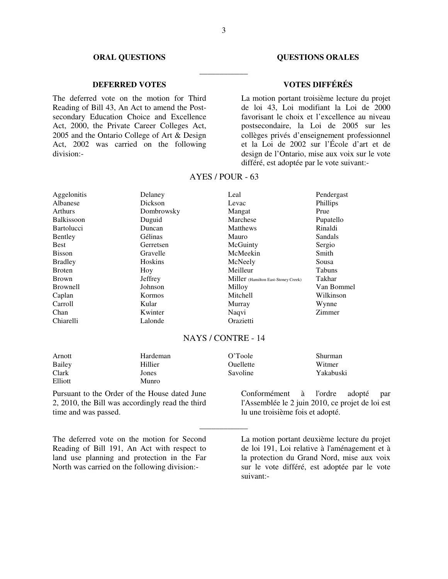# **DEFERRED VOTES VOTES DIFFÉRÉS**

The deferred vote on the motion for Third Reading of Bill 43, An Act to amend the Postsecondary Education Choice and Excellence Act, 2000, the Private Career Colleges Act, 2005 and the Ontario College of Art & Design Act, 2002 was carried on the following division:-

### **ORAL QUESTIONS COUNTRY OVERSIONS ORALES**

La motion portant troisième lecture du projet de loi 43, Loi modifiant la Loi de 2000 favorisant le choix et l'excellence au niveau postsecondaire, la Loi de 2005 sur les collèges privés d'enseignement professionnel et la Loi de 2002 sur l'École d'art et de design de l'Ontario, mise aux voix sur le vote différé, est adoptée par le vote suivant:-

| Aggelonitis       | Delaney    | Leal                                | Pendergast    |
|-------------------|------------|-------------------------------------|---------------|
| Albanese          | Dickson    | Levac                               | Phillips      |
| <b>Arthurs</b>    | Dombrowsky | Mangat                              | Prue          |
| <b>Balkissoon</b> | Duguid     | Marchese                            | Pupatello     |
| <b>Bartolucci</b> | Duncan     | Matthews                            | Rinaldi       |
| Bentley           | Gélinas    | <b>Mauro</b>                        | Sandals       |
| <b>Best</b>       | Gerretsen  | McGuinty                            | Sergio        |
| <b>Bisson</b>     | Gravelle   | McMeekin                            | Smith         |
| <b>Bradley</b>    | Hoskins    | McNeely                             | Sousa         |
| <b>Broten</b>     | Hoy        | Meilleur                            | <b>Tabuns</b> |
| <b>Brown</b>      | Jeffrey    | Miller (Hamilton East-Stoney Creek) | Takhar        |
| <b>Brownell</b>   | Johnson    | Milloy                              | Van Bommel    |
| Caplan            | Kormos     | Mitchell                            | Wilkinson     |
| Carroll           | Kular      | Murray                              | Wynne         |
| Chan              | Kwinter    | Naqvi                               | Zimmer        |
| Chiarelli         | Lalonde    | Orazietti                           |               |

# AYES / POUR - 63

# NAYS / CONTRE - 14

\_\_\_\_\_\_\_\_\_\_\_\_

| Arnott  | Hardeman | O'Toole   | Shurman   |
|---------|----------|-----------|-----------|
| Bailey  | Hillier  | Ouellette | Witmer    |
| Clark   | Jones    | Savoline  | Yakabuski |
| Elliott | Munro    |           |           |

Pursuant to the Order of the House dated June 2, 2010, the Bill was accordingly read the third time and was passed.

Conformément à l'ordre adopté par l'Assemblée le 2 juin 2010, ce projet de loi est lu une troisième fois et adopté.

The deferred vote on the motion for Second Reading of Bill 191, An Act with respect to land use planning and protection in the Far North was carried on the following division:-

La motion portant deuxième lecture du projet de loi 191, Loi relative à l'aménagement et à la protection du Grand Nord, mise aux voix sur le vote différé, est adoptée par le vote suivant:-

\_\_\_\_\_\_\_\_\_\_\_\_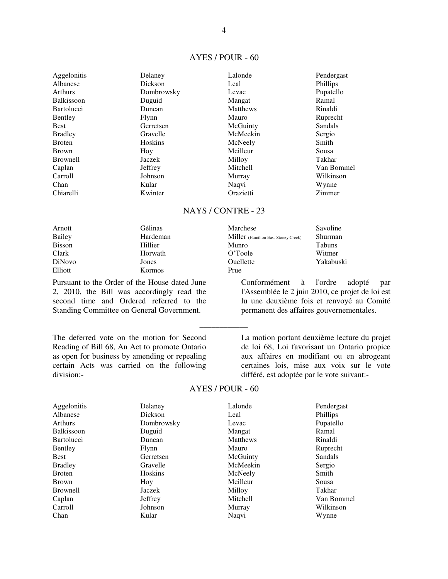# AYES / POUR - 60

| Aggelonitis       | Delaney    | Lalonde   | Pendergast |
|-------------------|------------|-----------|------------|
| Albanese          | Dickson    | Leal      | Phillips   |
| Arthurs           | Dombrowsky | Levac     | Pupatello  |
| <b>Balkissoon</b> | Duguid     | Mangat    | Ramal      |
| <b>Bartolucci</b> | Duncan     | Matthews  | Rinaldi    |
| Bentley           | Flynn      | Mauro     | Ruprecht   |
| <b>Best</b>       | Gerretsen  | McGuinty  | Sandals    |
| <b>Bradley</b>    | Gravelle   | McMeekin  | Sergio     |
| <b>Broten</b>     | Hoskins    | McNeely   | Smith      |
| <b>Brown</b>      | Hoy        | Meilleur  | Sousa      |
| <b>Brownell</b>   | Jaczek     | Milloy    | Takhar     |
| Caplan            | Jeffrey    | Mitchell  | Van Bommel |
| Carroll           | Johnson    | Murray    | Wilkinson  |
| Chan              | Kular      | Naqvi     | Wynne      |
| Chiarelli         | Kwinter    | Orazietti | Zimmer     |

# NAYS / CONTRE - 23

| Arnott        | Gélinas       | Marchese                            | Savoline      |
|---------------|---------------|-------------------------------------|---------------|
| Bailey        | Hardeman      | Miller (Hamilton East-Stoney Creek) | Shurman       |
| <b>Bisson</b> | Hillier       | Munro                               | <b>Tabuns</b> |
| Clark         | Horwath       | O'Toole                             | Witmer        |
| DiNovo        | Jones         | <b>Ouellette</b>                    | Yakabuski     |
| Elliott       | <b>Kormos</b> | Prue                                |               |

Pursuant to the Order of the House dated June 2, 2010, the Bill was accordingly read the second time and Ordered referred to the Standing Committee on General Government.

The deferred vote on the motion for Second Reading of Bill 68, An Act to promote Ontario as open for business by amending or repealing certain Acts was carried on the following division:-

l'Assemblée le 2 juin 2010, ce projet de loi est lu une deuxième fois et renvoyé au Comité permanent des affaires gouvernementales. \_\_\_\_\_\_\_\_\_\_\_\_ La motion portant deuxième lecture du projet

Conformément à l'ordre adopté par

de loi 68, Loi favorisant un Ontario propice aux affaires en modifiant ou en abrogeant certaines lois, mise aux voix sur le vote différé, est adoptée par le vote suivant:-

### AYES / POUR - 60

| Aggelonitis<br>Albanese<br><b>Arthurs</b> | Delaney<br>Dickson<br>Dombrowsky | Lalonde<br>Leal<br>Levac | Pendergast<br>Phillips<br>Pupatello |
|-------------------------------------------|----------------------------------|--------------------------|-------------------------------------|
| <b>Balkissoon</b>                         | Duguid                           | Mangat                   | Ramal                               |
| <b>Bartolucci</b>                         | Duncan                           | Matthews                 | Rinaldi                             |
| Bentley                                   | Flynn                            | Mauro                    | Ruprecht                            |
| <b>Best</b>                               | Gerretsen                        | McGuinty                 | Sandals                             |
| <b>Bradley</b>                            | Gravelle                         | McMeekin                 | Sergio                              |
| <b>Broten</b>                             | <b>Hoskins</b>                   | McNeely                  | Smith                               |
| <b>Brown</b>                              | Hoy                              | Meilleur                 | Sousa                               |
| <b>Brownell</b>                           | Jaczek                           | Milloy                   | Takhar                              |
| Caplan                                    | Jeffrey                          | Mitchell                 | Van Bommel                          |
| Carroll                                   | Johnson                          | Murray                   | Wilkinson                           |
| Chan                                      | Kular                            | Naqvi                    | Wynne                               |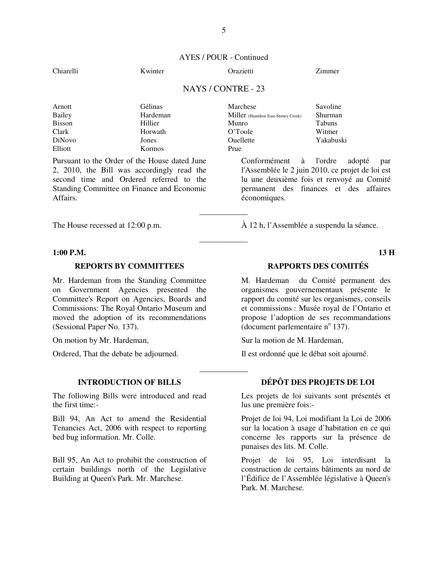# AYES / POUR - Continued

### Chiarelli Kwinter Orazietti Zimmer

# NAYS / CONTRE - 23

\_\_\_\_\_\_\_\_\_\_\_\_

\_\_\_\_\_\_\_\_\_\_\_\_

\_\_\_\_\_\_\_\_\_\_\_\_

| Arnott        | <b>Gélinas</b> | Marchese                                   | Savoline      |
|---------------|----------------|--------------------------------------------|---------------|
| <b>Bailey</b> | Hardeman       | <b>Miller</b> (Hamilton East-Stoney Creek) | Shurman       |
| <b>Bisson</b> | Hillier        | Munro                                      | <b>Tabuns</b> |
| Clark         | Horwath        | O'Toole                                    | Witmer        |
| DiNovo        | Jones          | Ouellette                                  | Yakabuski     |
| Elliott       | Kormos         | Prue                                       |               |

Pursuant to the Order of the House dated June 2, 2010, the Bill was accordingly read the second time and Ordered referred to the Standing Committee on Finance and Economic Affairs.

### **1:00 P.M. 13 H**

Mr. Hardeman from the Standing Committee on Government Agencies presented the Committee's Report on Agencies, Boards and Commissions: The Royal Ontario Museum and moved the adoption of its recommendations (Sessional Paper No. 137).

The following Bills were introduced and read the first time:-

Bill 94, An Act to amend the Residential Tenancies Act, 2006 with respect to reporting bed bug information. Mr. Colle.

Bill 95, An Act to prohibit the construction of certain buildings north of the Legislative Building at Queen's Park. Mr. Marchese.

Conformément à l'ordre adopté par l'Assemblée le 2 juin 2010, ce projet de loi est lu une deuxième fois et renvoyé au Comité permanent des finances et des affaires économiques.

The House recessed at 12:00 p.m. À 12 h, l'Assemblée a suspendu la séance.

# **REPORTS BY COMMITTEES RAPPORTS DES COMITÉS**

M. Hardeman du Comité permanent des organismes gouvernementaux présente le rapport du comité sur les organismes, conseils et commissions : Musée royal de l'Ontario et propose l'adoption de ses recommandations  $\alpha$  (document parlementaire n° 137).

On motion by Mr. Hardeman, Sur la motion de M. Hardeman,

Ordered, That the debate be adjourned. Il est ordonné que le débat soit ajourné.

# **INTRODUCTION OF BILLS DÉPÔT DES PROJETS DE LOI**

Les projets de loi suivants sont présentés et lus une première fois:-

Projet de loi 94, Loi modifiant la Loi de 2006 sur la location à usage d'habitation en ce qui concerne les rapports sur la présence de punaises des lits. M. Colle.

Projet de loi 95, Loi interdisant la construction de certains bâtiments au nord de l'Édifice de l'Assemblée législative à Queen's Park. M. Marchese.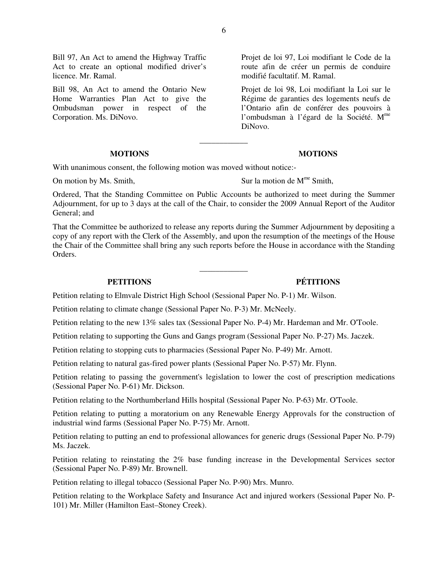Bill 97, An Act to amend the Highway Traffic Act to create an optional modified driver's licence. Mr. Ramal.

Bill 98, An Act to amend the Ontario New Home Warranties Plan Act to give the Ombudsman power in respect of the Corporation. Ms. DiNovo.

### **MOTIONS MOTIONS**

Projet de loi 97, Loi modifiant le Code de la route afin de créer un permis de conduire modifié facultatif. M. Ramal.

Projet de loi 98, Loi modifiant la Loi sur le Régime de garanties des logements neufs de l'Ontario afin de conférer des pouvoirs à l'ombudsman à l'égard de la Société. M<sup>me</sup> DiNovo.

With unanimous consent, the following motion was moved without notice:-

On motion by Ms. Smith,  $\qquad \qquad$  Sur la motion de M<sup>me</sup> Smith,

Ordered, That the Standing Committee on Public Accounts be authorized to meet during the Summer Adjournment, for up to 3 days at the call of the Chair, to consider the 2009 Annual Report of the Auditor General; and

\_\_\_\_\_\_\_\_\_\_\_\_

That the Committee be authorized to release any reports during the Summer Adjournment by depositing a copy of any report with the Clerk of the Assembly, and upon the resumption of the meetings of the House the Chair of the Committee shall bring any such reports before the House in accordance with the Standing Orders.

\_\_\_\_\_\_\_\_\_\_\_\_

# **PETITIONS PÉTITIONS**

Petition relating to Elmvale District High School (Sessional Paper No. P-1) Mr. Wilson.

Petition relating to climate change (Sessional Paper No. P-3) Mr. McNeely.

Petition relating to the new 13% sales tax (Sessional Paper No. P-4) Mr. Hardeman and Mr. O'Toole.

Petition relating to supporting the Guns and Gangs program (Sessional Paper No. P-27) Ms. Jaczek.

Petition relating to stopping cuts to pharmacies (Sessional Paper No. P-49) Mr. Arnott.

Petition relating to natural gas-fired power plants (Sessional Paper No. P-57) Mr. Flynn.

Petition relating to passing the government's legislation to lower the cost of prescription medications (Sessional Paper No. P-61) Mr. Dickson.

Petition relating to the Northumberland Hills hospital (Sessional Paper No. P-63) Mr. O'Toole.

Petition relating to putting a moratorium on any Renewable Energy Approvals for the construction of industrial wind farms (Sessional Paper No. P-75) Mr. Arnott.

Petition relating to putting an end to professional allowances for generic drugs (Sessional Paper No. P-79) Ms. Jaczek.

Petition relating to reinstating the 2% base funding increase in the Developmental Services sector (Sessional Paper No. P-89) Mr. Brownell.

Petition relating to illegal tobacco (Sessional Paper No. P-90) Mrs. Munro.

Petition relating to the Workplace Safety and Insurance Act and injured workers (Sessional Paper No. P-101) Mr. Miller (Hamilton East–Stoney Creek).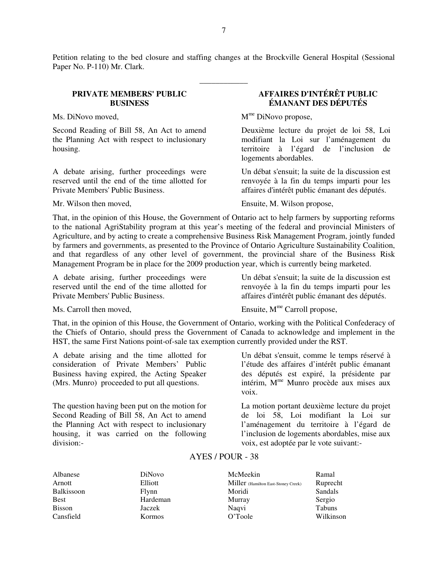Petition relating to the bed closure and staffing changes at the Brockville General Hospital (Sessional Paper No. P-110) Mr. Clark.

\_\_\_\_\_\_\_\_\_\_\_\_

# **PRIVATE MEMBERS' PUBLIC BUSINESS**

Second Reading of Bill 58, An Act to amend the Planning Act with respect to inclusionary housing.

A debate arising, further proceedings were reserved until the end of the time allotted for Private Members' Public Business.

# **AFFAIRES D'INTÉRÊT PUBLIC ÉMANANT DES DÉPUTÉS**

Ms. DiNovo moved, M<sup>me</sup> DiNovo propose,

Deuxième lecture du projet de loi 58, Loi modifiant la Loi sur l'aménagement du territoire à l'égard de l'inclusion de logements abordables.

Un débat s'ensuit; la suite de la discussion est renvoyée à la fin du temps imparti pour les affaires d'intérêt public émanant des députés.

Mr. Wilson then moved, Ensuite, M. Wilson propose,

That, in the opinion of this House, the Government of Ontario act to help farmers by supporting reforms to the national AgriStability program at this year's meeting of the federal and provincial Ministers of Agriculture, and by acting to create a comprehensive Business Risk Management Program, jointly funded by farmers and governments, as presented to the Province of Ontario Agriculture Sustainability Coalition, and that regardless of any other level of government, the provincial share of the Business Risk Management Program be in place for the 2009 production year, which is currently being marketed.

A debate arising, further proceedings were reserved until the end of the time allotted for Private Members' Public Business.

Un débat s'ensuit; la suite de la discussion est renvoyée à la fin du temps imparti pour les affaires d'intérêt public émanant des députés.

Ms. Carroll then moved, Ensuite,  $M^{me}$  Carroll propose,

That, in the opinion of this House, the Government of Ontario, working with the Political Confederacy of the Chiefs of Ontario, should press the Government of Canada to acknowledge and implement in the HST, the same First Nations point-of-sale tax exemption currently provided under the RST.

A debate arising and the time allotted for consideration of Private Members' Public Business having expired, the Acting Speaker (Mrs. Munro) proceeded to put all questions.

The question having been put on the motion for Second Reading of Bill 58, An Act to amend the Planning Act with respect to inclusionary housing, it was carried on the following division:-

Un débat s'ensuit, comme le temps réservé à l'étude des affaires d'intérêt public émanant des députés est expiré, la présidente par intérim, Mme Munro procède aux mises aux voix.

La motion portant deuxième lecture du projet de loi 58, Loi modifiant la Loi sur l'aménagement du territoire à l'égard de l'inclusion de logements abordables, mise aux voix, est adoptée par le vote suivant:-

# AYES / POUR - 38

| Albanese   | DiNovo        | McMeekin                            | Ramal     |
|------------|---------------|-------------------------------------|-----------|
| Arnott     | Elliott       | Miller (Hamilton East-Stoney Creek) | Ruprecht  |
| Balkissoon | Flynn         | Moridi                              | Sandals   |
| Best       | Hardeman      | Murray                              | Sergio    |
| Bisson     | Jaczek        | Nagvi                               | Tabuns    |
| Cansfield  | <b>Kormos</b> | O'Toole                             | Wilkinson |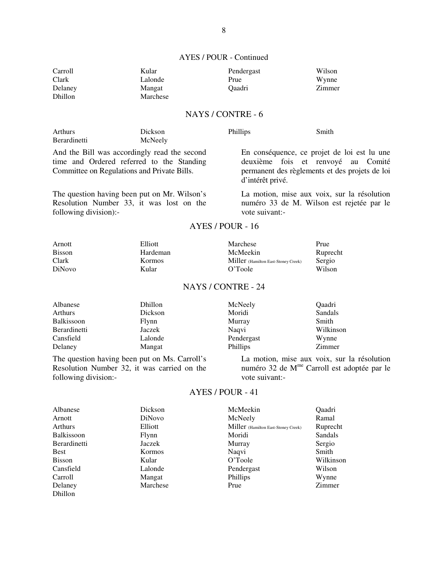# AYES / POUR - Continued

| Carroll | Kular    | Pendergast | Wilson |
|---------|----------|------------|--------|
| Clark   | Lalonde  | Prue       | Wynne  |
| Delaney | Mangat   | Oaadri     | Zimmer |
| Dhillon | Marchese |            |        |

# NAYS / CONTRE - 6

| Arthurs      | Dickson | Phillips | Smith |
|--------------|---------|----------|-------|
| Berardinetti | McNeely |          |       |

And the Bill was accordingly read the second time and Ordered referred to the Standing Committee on Regulations and Private Bills.

The question having been put on Mr. Wilson's Resolution Number 33, it was lost on the following division):-

En conséquence, ce projet de loi est lu une deuxième fois et renvoyé au Comité permanent des règlements et des projets de loi d'intérêt privé.

La motion, mise aux voix, sur la résolution numéro 33 de M. Wilson est rejetée par le vote suivant:-

# AYES / POUR - 16

| Arnott        | Elliott       | Marchese                            | Prue     |
|---------------|---------------|-------------------------------------|----------|
| <b>Bisson</b> | Hardeman      | McMeekin                            | Ruprecht |
| Clark         | <b>Kormos</b> | Miller (Hamilton East-Stoney Creek) | Sergio   |
| <b>DiNovo</b> | Kular         | O'Toole                             | Wilson   |

# NAYS / CONTRE - 24

| Albanese     | Dhillon | McNeely         | Oaadri    |
|--------------|---------|-----------------|-----------|
| Arthurs      | Dickson | Moridi          | Sandals   |
| Balkissoon   | Flynn   | Murray          | Smith     |
| Berardinetti | Jaczek  | Nagvi           | Wilkinson |
| Cansfield    | Lalonde | Pendergast      | Wynne     |
| Delaney      | Mangat  | <b>Phillips</b> | Zimmer    |

The question having been put on Ms. Carroll's Resolution Number 32, it was carried on the following division:-

La motion, mise aux voix, sur la résolution numéro 32 de M<sup>me</sup> Carroll est adoptée par le vote suivant:-

# AYES / POUR - 41

| Albanese      | Dickson       | McMeekin                            | <b>Oaadri</b> |
|---------------|---------------|-------------------------------------|---------------|
| Arnott        | <b>DiNovo</b> | McNeely                             | Ramal         |
| Arthurs       | Elliott       | Miller (Hamilton East-Stoney Creek) | Ruprecht      |
| Balkissoon    | Flynn         | Moridi                              | Sandals       |
| Berardinetti  | Jaczek        | Murray                              | Sergio        |
| <b>Best</b>   | <b>Kormos</b> | Naqvi                               | Smith         |
| <b>Bisson</b> | Kular         | O'Toole                             | Wilkinson     |
| Cansfield     | Lalonde       | Pendergast                          | Wilson        |
| Carroll       | Mangat        | <b>Phillips</b>                     | Wynne         |
| Delaney       | Marchese      | Prue                                | Zimmer        |
| Dhillon       |               |                                     |               |